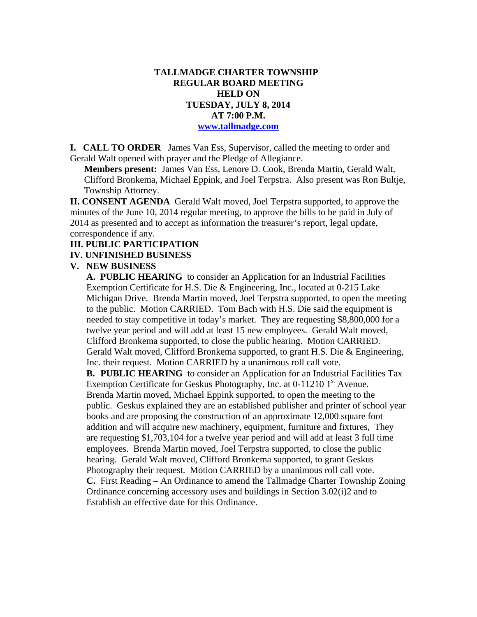## **TALLMADGE CHARTER TOWNSHIP REGULAR BOARD MEETING HELD ON TUESDAY, JULY 8, 2014 AT 7:00 P.M. www.tallmadge.com**

**I. CALL TO ORDER** James Van Ess, Supervisor, called the meeting to order and Gerald Walt opened with prayer and the Pledge of Allegiance.

**Members present:** James Van Ess, Lenore D. Cook, Brenda Martin, Gerald Walt, Clifford Bronkema, Michael Eppink, and Joel Terpstra. Also present was Ron Bultje, Township Attorney.

**II. CONSENT AGENDA** Gerald Walt moved, Joel Terpstra supported, to approve the minutes of the June 10, 2014 regular meeting, to approve the bills to be paid in July of 2014 as presented and to accept as information the treasurer's report, legal update, correspondence if any.

### **III. PUBLIC PARTICIPATION**

### **IV. UNFINISHED BUSINESS**

#### **V. NEW BUSINESS**

 **A. PUBLIC HEARING** to consider an Application for an Industrial Facilities Exemption Certificate for H.S. Die & Engineering, Inc., located at 0-215 Lake Michigan Drive. Brenda Martin moved, Joel Terpstra supported, to open the meeting to the public. Motion CARRIED. Tom Bach with H.S. Die said the equipment is needed to stay competitive in today's market. They are requesting \$8,800,000 for a twelve year period and will add at least 15 new employees. Gerald Walt moved, Clifford Bronkema supported, to close the public hearing. Motion CARRIED. Gerald Walt moved, Clifford Bronkema supported, to grant H.S. Die & Engineering, Inc. their request. Motion CARRIED by a unanimous roll call vote.

**B. PUBLIC HEARING** to consider an Application for an Industrial Facilities Tax Exemption Certificate for Geskus Photography, Inc. at  $0-112101<sup>st</sup>$  Avenue. Brenda Martin moved, Michael Eppink supported, to open the meeting to the public. Geskus explained they are an established publisher and printer of school year books and are proposing the construction of an approximate 12,000 square foot addition and will acquire new machinery, equipment, furniture and fixtures, They are requesting \$1,703,104 for a twelve year period and will add at least 3 full time employees. Brenda Martin moved, Joel Terpstra supported, to close the public hearing. Gerald Walt moved, Clifford Bronkema supported, to grant Geskus Photography their request. Motion CARRIED by a unanimous roll call vote. **C.** First Reading – An Ordinance to amend the Tallmadge Charter Township Zoning Ordinance concerning accessory uses and buildings in Section 3.02(i)2 and to Establish an effective date for this Ordinance.